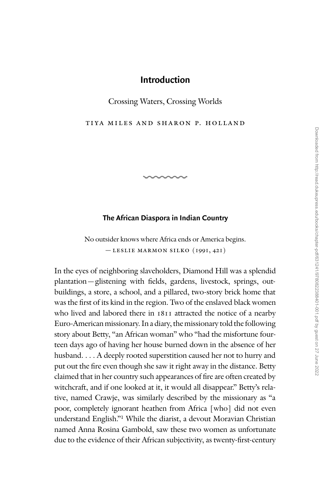# **Introduction**

Crossing Waters, Crossing Worlds

tiya miles and sharon p. holland

## **The African Diaspora in Indian Country**

www

No outsider knows where Africa ends or America begins. —leslie marmon silko (1991, 421)

In the eyes of neighboring slaveholders, Diamond Hill was a splendid plantation—glistening with fields, gardens, livestock, springs, outbuildings, a store, a school, and a pillared, two-story brick home that was the first of its kind in the region. Two of the enslaved black women who lived and labored there in 1811 attracted the notice of a nearby Euro-American missionary. In a diary, the missionary told the following story about Betty, "an African woman" who "had the misfortune fourteen days ago of having her house burned down in the absence of her husband. . . . A deeply rooted superstition caused her not to hurry and put out the fire even though she saw it right away in the distance. Betty claimed that in her country such appearances of fire are often created by witchcraft, and if one looked at it, it would all disappear.'' Betty's relative, named Crawje, was similarly described by the missionary as ''a poor, completely ignorant heathen from Africa [who] did not even understand English."<sup>1</sup> While the diarist, a devout Moravian Christian named Anna Rosina Gambold, saw these two women as unfortunate due to the evidence of their African subjectivity, as twenty-first-century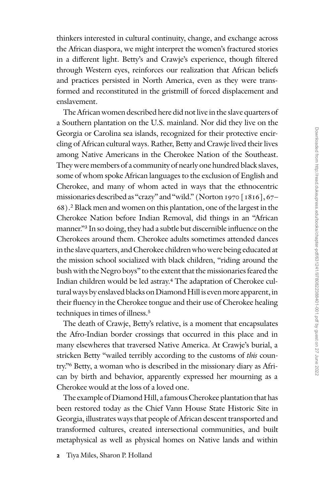thinkers interested in cultural continuity, change, and exchange across the African diaspora, we might interpret the women's fractured stories in a different light. Betty's and Crawje's experience, though filtered through Western eyes, reinforces our realization that African beliefs and practices persisted in North America, even as they were transformed and reconstituted in the gristmill of forced displacement and enslavement.

The African women described here did not live in the slave quarters of a Southern plantation on the U.S. mainland. Nor did they live on the Georgia or Carolina sea islands, recognized for their protective encircling of African cultural ways. Rather, Betty and Crawje lived their lives among Native Americans in the Cherokee Nation of the Southeast. They were members of a community of nearly one hundred black slaves, some of whom spoke African languages to the exclusion of English and Cherokee, and many of whom acted in ways that the ethnocentric missionaries described as "crazy" and "wild." (Norton 1970 [1816], 67-68).≤ Black men and women on this plantation, one of the largest in the Cherokee Nation before Indian Removal, did things in an ''African manner."<sup>3</sup> In so doing, they had a subtle but discernible influence on the Cherokees around them. Cherokee adults sometimes attended dances in the slave quarters, and Cherokee children who were being educated at the mission school socialized with black children, "riding around the bush with the Negro boys'' to the extent that the missionaries feared the Indian children would be led astray.∂ The adaptation of Cherokee cultural ways by enslaved blacks on Diamond Hill is even more apparent, in their fluency in the Cherokee tongue and their use of Cherokee healing techniques in times of illness.<sup>5</sup>

The death of Crawje, Betty's relative, is a moment that encapsulates the Afro-Indian border crossings that occurred in this place and in many elsewheres that traversed Native America. At Crawje's burial, a stricken Betty ''wailed terribly according to the customs of *this* country."<sup>6</sup> Betty, a woman who is described in the missionary diary as African by birth and behavior, apparently expressed her mourning as a Cherokee would at the loss of a loved one.

The example of Diamond Hill, a famous Cherokee plantation that has been restored today as the Chief Vann House State Historic Site in Georgia, illustrates ways that people of African descent transported and transformed cultures, created intersectional communities, and built metaphysical as well as physical homes on Native lands and within

**<sup>2</sup>** Tiya Miles, Sharon P. Holland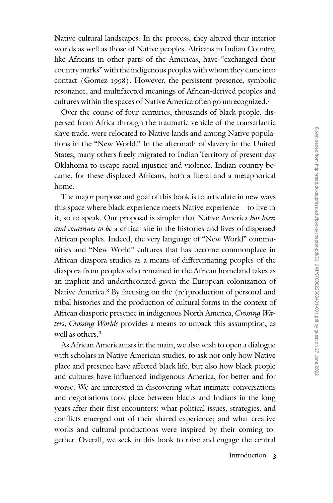Native cultural landscapes. In the process, they altered their interior worlds as well as those of Native peoples. Africans in Indian Country, like Africans in other parts of the Americas, have ''exchanged their country marks'' with the indigenous peoples with whom they came into contact (Gomez 1998). However, the persistent presence, symbolic resonance, and multifaceted meanings of African-derived peoples and cultures within the spaces of Native America often go unrecognized.<sup>7</sup>

Over the course of four centuries, thousands of black people, dispersed from Africa through the traumatic vehicle of the transatlantic slave trade, were relocated to Native lands and among Native populations in the ''New World.'' In the aftermath of slavery in the United States, many others freely migrated to Indian Territory of present-day Oklahoma to escape racial injustice and violence. Indian country became, for these displaced Africans, both a literal and a metaphorical home.

The major purpose and goal of this book is to articulate in new ways this space where black experience meets Native experience—to live in it, so to speak. Our proposal is simple: that Native America *has been and continues to be* a critical site in the histories and lives of dispersed African peoples. Indeed, the very language of ''New World'' communities and ''New World'' cultures that has become commonplace in African diaspora studies as a means of differentiating peoples of the diaspora from peoples who remained in the African homeland takes as an implicit and undertheorized given the European colonization of Native America.<sup>8</sup> By focusing on the (re)production of personal and tribal histories and the production of cultural forms in the context of African diasporic presence in indigenous North America, *Crossing Waters, Crossing Worlds* provides a means to unpack this assumption, as well as others.<sup>9</sup>

As African Americanists in the main, we also wish to open a dialogue with scholars in Native American studies, to ask not only how Native place and presence have affected black life, but also how black people and cultures have influenced indigenous America, for better and for worse. We are interested in discovering what intimate conversations and negotiations took place between blacks and Indians in the long years after their first encounters; what political issues, strategies, and conflicts emerged out of their shared experience; and what creative works and cultural productions were inspired by their coming together. Overall, we seek in this book to raise and engage the central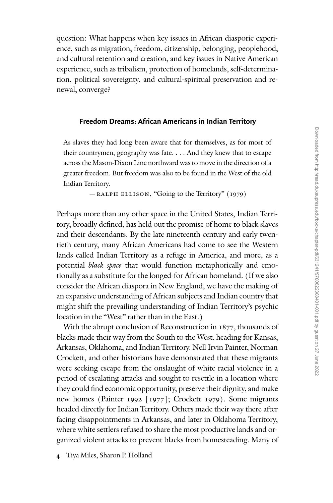question: What happens when key issues in African diasporic experience, such as migration, freedom, citizenship, belonging, peoplehood, and cultural retention and creation, and key issues in Native American experience, such as tribalism, protection of homelands, self-determination, political sovereignty, and cultural-spiritual preservation and renewal, converge?

### **Freedom Dreams: African Americans in Indian Territory**

As slaves they had long been aware that for themselves, as for most of their countrymen, geography was fate. . . . And they knew that to escape across the Mason-Dixon Line northward was to move in the direction of a greater freedom. But freedom was also to be found in the West of the old Indian Territory.

—ralph ellison, ''Going to the Territory'' (1979)

Perhaps more than any other space in the United States, Indian Territory, broadly defined, has held out the promise of home to black slaves and their descendants. By the late nineteenth century and early twentieth century, many African Americans had come to see the Western lands called Indian Territory as a refuge in America, and more, as a potential *black space* that would function metaphorically and emotionally as a substitute for the longed-for African homeland. (If we also consider the African diaspora in New England, we have the making of an expansive understanding of African subjects and Indian country that might shift the prevailing understanding of Indian Territory's psychic location in the "West" rather than in the East.)

With the abrupt conclusion of Reconstruction in 1877, thousands of blacks made their way from the South to the West, heading for Kansas, Arkansas, Oklahoma, and Indian Territory. Nell Irvin Painter, Norman Crockett, and other historians have demonstrated that these migrants were seeking escape from the onslaught of white racial violence in a period of escalating attacks and sought to resettle in a location where they could find economic opportunity, preserve their dignity, and make new homes (Painter 1992 [1977]; Crockett 1979). Some migrants headed directly for Indian Territory. Others made their way there after facing disappointments in Arkansas, and later in Oklahoma Territory, where white settlers refused to share the most productive lands and organized violent attacks to prevent blacks from homesteading. Many of

**4** Tiya Miles, Sharon P. Holland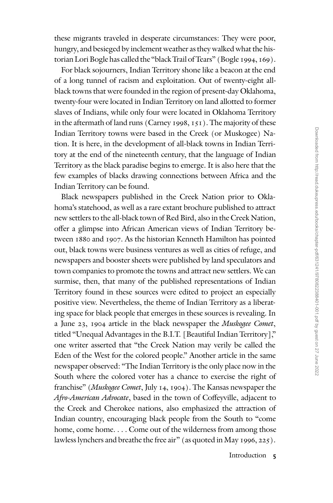these migrants traveled in desperate circumstances: They were poor, hungry, and besieged by inclement weather as they walked what the historian Lori Bogle has called the ''black Trail of Tears'' (Bogle 1994, 169).

For black sojourners, Indian Territory shone like a beacon at the end of a long tunnel of racism and exploitation. Out of twenty-eight allblack towns that were founded in the region of present-day Oklahoma, twenty-four were located in Indian Territory on land allotted to former slaves of Indians, while only four were located in Oklahoma Territory in the aftermath of land runs (Carney 1998, 151). The majority of these Indian Territory towns were based in the Creek (or Muskogee) Nation. It is here, in the development of all-black towns in Indian Territory at the end of the nineteenth century, that the language of Indian Territory as the black paradise begins to emerge. It is also here that the few examples of blacks drawing connections between Africa and the Indian Territory can be found.

Black newspapers published in the Creek Nation prior to Oklahoma's statehood, as well as a rare extant brochure published to attract new settlers to the all-black town of Red Bird, also in the Creek Nation, offer a glimpse into African American views of Indian Territory between 1880 and 1907. As the historian Kenneth Hamilton has pointed out, black towns were business ventures as well as cities of refuge, and newspapers and booster sheets were published by land speculators and town companies to promote the towns and attract new settlers. We can surmise, then, that many of the published representations of Indian Territory found in these sources were edited to project an especially positive view. Nevertheless, the theme of Indian Territory as a liberating space for black people that emerges in these sources is revealing. In a June 23, 1904 article in the black newspaper the *Muskogee Comet*, titled ''Unequal Advantages in the B.I.T. [Beautiful Indian Territory],'' one writer asserted that ''the Creek Nation may verily be called the Eden of the West for the colored people.'' Another article in the same newspaper observed: ''The Indian Territory is the only place now in the South where the colored voter has a chance to exercise the right of franchise'' (*Muskogee Comet*, July 14, 1904). The Kansas newspaper the *Afro-American Advocate*, based in the town of Coffeyville, adjacent to the Creek and Cherokee nations, also emphasized the attraction of Indian country, encouraging black people from the South to ''come home, come home. . . . Come out of the wilderness from among those lawless lynchers and breathe the free air" (as quoted in May 1996, 225).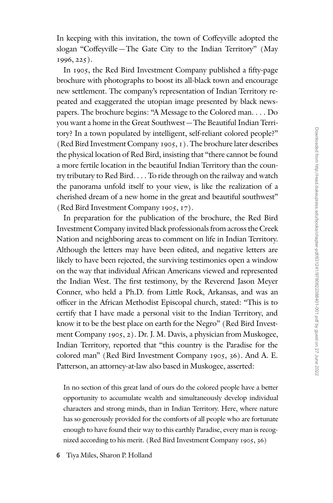In keeping with this invitation, the town of Coffeyville adopted the slogan "Coffeyville—The Gate City to the Indian Territory" (May 1996, 225).

In 1905, the Red Bird Investment Company published a fifty-page brochure with photographs to boost its all-black town and encourage new settlement. The company's representation of Indian Territory repeated and exaggerated the utopian image presented by black newspapers. The brochure begins: ''A Message to the Colored man. . . . Do you want a home in the Great Southwest—The Beautiful Indian Territory? In a town populated by intelligent, self-reliant colored people?'' (Red Bird Investment Company 1905, 1). The brochure later describes the physical location of Red Bird, insisting that ''there cannot be found a more fertile location in the beautiful Indian Territory than the country tributary to Red Bird. . . . To ride through on the railway and watch the panorama unfold itself to your view, is like the realization of a cherished dream of a new home in the great and beautiful southwest'' (Red Bird Investment Company 1905, 17).

In preparation for the publication of the brochure, the Red Bird Investment Company invited black professionals from across the Creek Nation and neighboring areas to comment on life in Indian Territory. Although the letters may have been edited, and negative letters are likely to have been rejected, the surviving testimonies open a window on the way that individual African Americans viewed and represented the Indian West. The first testimony, by the Reverend Jason Meyer Conner, who held a Ph.D. from Little Rock, Arkansas, and was an officer in the African Methodist Episcopal church, stated: "This is to certify that I have made a personal visit to the Indian Territory, and know it to be the best place on earth for the Negro'' (Red Bird Investment Company 1905, 2). Dr. J. M. Davis, a physician from Muskogee, Indian Territory, reported that ''this country is the Paradise for the colored man'' (Red Bird Investment Company 1905, 36). And A. E. Patterson, an attorney-at-law also based in Muskogee, asserted:

In no section of this great land of ours do the colored people have a better opportunity to accumulate wealth and simultaneously develop individual characters and strong minds, than in Indian Territory. Here, where nature has so generously provided for the comforts of all people who are fortunate enough to have found their way to this earthly Paradise, every man is recognized according to his merit. (Red Bird Investment Company 1905, 36)

**6** Tiya Miles, Sharon P. Holland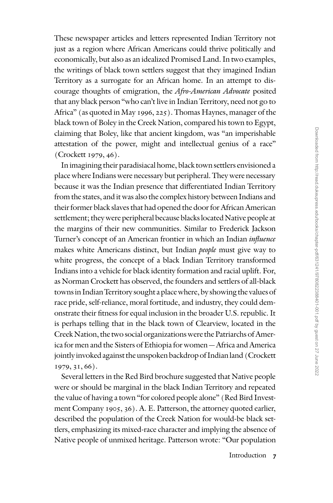These newspaper articles and letters represented Indian Territory not just as a region where African Americans could thrive politically and economically, but also as an idealized Promised Land. In two examples, the writings of black town settlers suggest that they imagined Indian Territory as a surrogate for an African home. In an attempt to discourage thoughts of emigration, the *Afro-American Advocate* posited that any black person ''who can't live in Indian Territory, need not go to Africa'' (as quoted in May 1996, 225). Thomas Haynes, manager of the black town of Boley in the Creek Nation, compared his town to Egypt, claiming that Boley, like that ancient kingdom, was ''an imperishable attestation of the power, might and intellectual genius of a race'' (Crockett 1979, 46).

In imagining their paradisiacal home, black town settlers envisioned a place where Indians were necessary but peripheral. They were necessary because it was the Indian presence that differentiated Indian Territory from the states, and it was also the complex history between Indians and their former black slaves that had opened the door for African American settlement; they were peripheral because blacks located Native people at the margins of their new communities. Similar to Frederick Jackson Turner's concept of an American frontier in which an Indian *influence* makes white Americans distinct, but Indian *people* must give way to white progress, the concept of a black Indian Territory transformed Indians into a vehicle for black identity formation and racial uplift. For, as Norman Crockett has observed, the founders and settlers of all-black towns in Indian Territory sought a place where, by showing the values of race pride, self-reliance, moral fortitude, and industry, they could demonstrate their fitness for equal inclusion in the broader U.S. republic. It is perhaps telling that in the black town of Clearview, located in the Creek Nation, the two social organizations were the Patriarchs of America for men and the Sisters of Ethiopia for women—Africa and America jointly invoked against the unspoken backdrop of Indian land (Crockett 1979, 31, 66).

Several letters in the Red Bird brochure suggested that Native people were or should be marginal in the black Indian Territory and repeated the value of having a town ''for colored people alone'' (Red Bird Investment Company 1905, 36). A. E. Patterson, the attorney quoted earlier, described the population of the Creek Nation for would-be black settlers, emphasizing its mixed-race character and implying the absence of Native people of unmixed heritage. Patterson wrote: ''Our population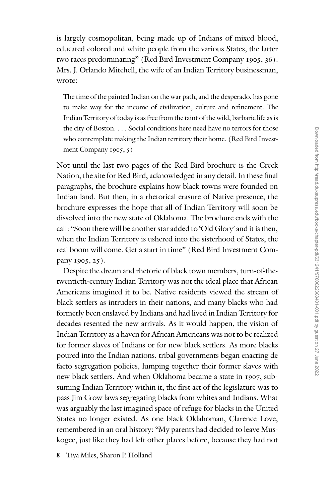is largely cosmopolitan, being made up of Indians of mixed blood, educated colored and white people from the various States, the latter two races predominating'' (Red Bird Investment Company 1905, 36). Mrs. J. Orlando Mitchell, the wife of an Indian Territory businessman, wrote:

The time of the painted Indian on the war path, and the desperado, has gone to make way for the income of civilization, culture and refinement. The Indian Territory of today is as free from the taint of the wild, barbaric life as is the city of Boston. . . . Social conditions here need have no terrors for those who contemplate making the Indian territory their home. (Red Bird Investment Company 1905, 5)

Not until the last two pages of the Red Bird brochure is the Creek Nation, the site for Red Bird, acknowledged in any detail. In these final paragraphs, the brochure explains how black towns were founded on Indian land. But then, in a rhetorical erasure of Native presence, the brochure expresses the hope that all of Indian Territory will soon be dissolved into the new state of Oklahoma. The brochure ends with the call: ''Soon there will be another star added to 'Old Glory' and it is then, when the Indian Territory is ushered into the sisterhood of States, the real boom will come. Get a start in time'' (Red Bird Investment Company 1905, 25).

Despite the dream and rhetoric of black town members, turn-of-thetwentieth-century Indian Territory was not the ideal place that African Americans imagined it to be. Native residents viewed the stream of black settlers as intruders in their nations, and many blacks who had formerly been enslaved by Indians and had lived in Indian Territory for decades resented the new arrivals. As it would happen, the vision of Indian Territory as a haven for African Americans was not to be realized for former slaves of Indians or for new black settlers. As more blacks poured into the Indian nations, tribal governments began enacting de facto segregation policies, lumping together their former slaves with new black settlers. And when Oklahoma became a state in 1907, subsuming Indian Territory within it, the first act of the legislature was to pass Jim Crow laws segregating blacks from whites and Indians. What was arguably the last imagined space of refuge for blacks in the United States no longer existed. As one black Oklahoman, Clarence Love, remembered in an oral history: ''My parents had decided to leave Muskogee, just like they had left other places before, because they had not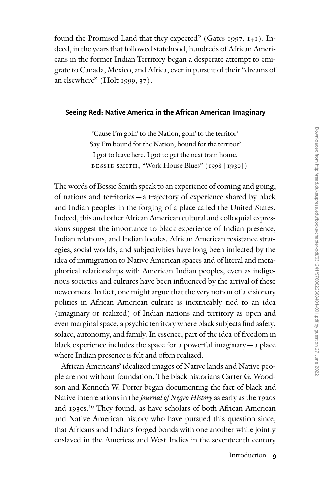found the Promised Land that they expected'' (Gates 1997, 141). Indeed, in the years that followed statehood, hundreds of African Americans in the former Indian Territory began a desperate attempt to emigrate to Canada, Mexico, and Africa, ever in pursuit of their ''dreams of an elsewhere'' (Holt 1999, 37).

### **Seeing Red: Native America in the African American Imaginary**

'Cause I'm goin' to the Nation, goin' to the territor' Say I'm bound for the Nation, bound for the territor' I got to leave here, I got to get the next train home. —bessie smith, ''Work House Blues'' (1998 [1930])

The words of Bessie Smith speak to an experience of coming and going, of nations and territories—a trajectory of experience shared by black and Indian peoples in the forging of a place called the United States. Indeed, this and other African American cultural and colloquial expressions suggest the importance to black experience of Indian presence, Indian relations, and Indian locales. African American resistance strategies, social worlds, and subjectivities have long been inflected by the idea of immigration to Native American spaces and of literal and metaphorical relationships with American Indian peoples, even as indigenous societies and cultures have been influenced by the arrival of these newcomers. In fact, one might argue that the very notion of a visionary politics in African American culture is inextricably tied to an idea (imaginary or realized) of Indian nations and territory as open and even marginal space, a psychic territory where black subjects find safety, solace, autonomy, and family. In essence, part of the idea of freedom in black experience includes the space for a powerful imaginary—a place where Indian presence is felt and often realized.

African Americans' idealized images of Native lands and Native people are not without foundation. The black historians Carter G. Woodson and Kenneth W. Porter began documenting the fact of black and Native interrelations in the *Journal of Negro History* as early as the 1920s and 1930s.<sup>10</sup> They found, as have scholars of both African American and Native American history who have pursued this question since, that Africans and Indians forged bonds with one another while jointly enslaved in the Americas and West Indies in the seventeenth century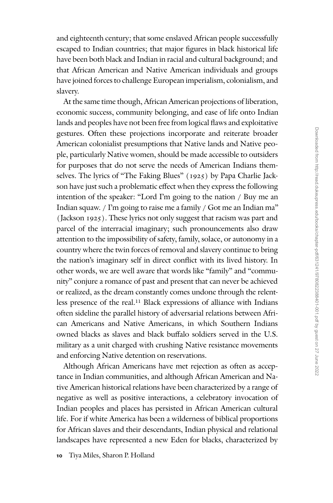and eighteenth century; that some enslaved African people successfully escaped to Indian countries; that major figures in black historical life have been both black and Indian in racial and cultural background; and that African American and Native American individuals and groups have joined forces to challenge European imperialism, colonialism, and slavery.

At the same time though, African American projections of liberation, economic success, community belonging, and ease of life onto Indian lands and peoples have not been free from logical flaws and exploitative gestures. Often these projections incorporate and reiterate broader American colonialist presumptions that Native lands and Native people, particularly Native women, should be made accessible to outsiders for purposes that do not serve the needs of American Indians themselves. The lyrics of "The Faking Blues" (1925) by Papa Charlie Jackson have just such a problematic effect when they express the following intention of the speaker: ''Lord I'm going to the nation / Buy me an Indian squaw. / I'm going to raise me a family / Got me an Indian ma'' (Jackson 1925). These lyrics not only suggest that racism was part and parcel of the interracial imaginary; such pronouncements also draw attention to the impossibility of safety, family, solace, or autonomy in a country where the twin forces of removal and slavery continue to bring the nation's imaginary self in direct conflict with its lived history. In other words, we are well aware that words like "family" and "community'' conjure a romance of past and present that can never be achieved or realized, as the dream constantly comes undone through the relentless presence of the real.<sup>11</sup> Black expressions of alliance with Indians often sideline the parallel history of adversarial relations between African Americans and Native Americans, in which Southern Indians owned blacks as slaves and black buffalo soldiers served in the U.S. military as a unit charged with crushing Native resistance movements and enforcing Native detention on reservations.

Although African Americans have met rejection as often as acceptance in Indian communities, and although African American and Native American historical relations have been characterized by a range of negative as well as positive interactions, a celebratory invocation of Indian peoples and places has persisted in African American cultural life. For if white America has been a wilderness of biblical proportions for African slaves and their descendants, Indian physical and relational landscapes have represented a new Eden for blacks, characterized by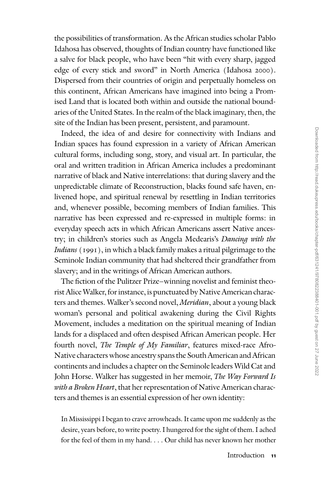the possibilities of transformation. As the African studies scholar Pablo Idahosa has observed, thoughts of Indian country have functioned like a salve for black people, who have been ''hit with every sharp, jagged edge of every stick and sword'' in North America (Idahosa 2000). Dispersed from their countries of origin and perpetually homeless on this continent, African Americans have imagined into being a Promised Land that is located both within and outside the national boundaries of the United States. In the realm of the black imaginary, then, the site of the Indian has been present, persistent, and paramount.

Indeed, the idea of and desire for connectivity with Indians and Indian spaces has found expression in a variety of African American cultural forms, including song, story, and visual art. In particular, the oral and written tradition in African America includes a predominant narrative of black and Native interrelations: that during slavery and the unpredictable climate of Reconstruction, blacks found safe haven, enlivened hope, and spiritual renewal by resettling in Indian territories and, whenever possible, becoming members of Indian families. This narrative has been expressed and re-expressed in multiple forms: in everyday speech acts in which African Americans assert Native ancestry; in children's stories such as Angela Medearis's *Dancing with the Indians* (1991), in which a black family makes a ritual pilgrimage to the Seminole Indian community that had sheltered their grandfather from slavery; and in the writings of African American authors.

The fiction of the Pulitzer Prize–winning novelist and feminist theorist Alice Walker, for instance, is punctuated by Native American characters and themes. Walker's second novel, *Meridian*, about a young black woman's personal and political awakening during the Civil Rights Movement, includes a meditation on the spiritual meaning of Indian lands for a displaced and often despised African American people. Her fourth novel, *The Temple of My Familiar*, features mixed-race Afro-Native characters whose ancestry spans the South American and African continents and includes a chapter on the Seminole leaders Wild Cat and John Horse. Walker has suggested in her memoir, *The Way Forward Is with a Broken Heart*, that her representation of Native American characters and themes is an essential expression of her own identity:

In Mississippi I began to crave arrowheads. It came upon me suddenly as the desire, years before, to write poetry. I hungered for the sight of them. I ached for the feel of them in my hand. . . . Our child has never known her mother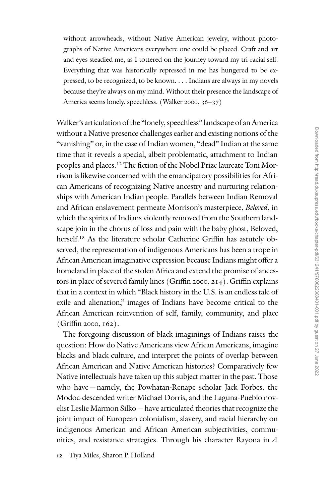without arrowheads, without Native American jewelry, without photographs of Native Americans everywhere one could be placed. Craft and art and eyes steadied me, as I tottered on the journey toward my tri-racial self. Everything that was historically repressed in me has hungered to be expressed, to be recognized, to be known. . . . Indians are always in my novels because they're always on my mind. Without their presence the landscape of America seems lonely, speechless. (Walker 2000, 36–37)

Walker's articulation of the ''lonely, speechless'' landscape of an America without a Native presence challenges earlier and existing notions of the "vanishing" or, in the case of Indian women, "dead" Indian at the same time that it reveals a special, albeit problematic, attachment to Indian peoples and places.<sup>12</sup> The fiction of the Nobel Prize laureate Toni Morrison is likewise concerned with the emancipatory possibilities for African Americans of recognizing Native ancestry and nurturing relationships with American Indian people. Parallels between Indian Removal and African enslavement permeate Morrison's masterpiece, *Beloved*, in which the spirits of Indians violently removed from the Southern landscape join in the chorus of loss and pain with the baby ghost, Beloved, herself.<sup>13</sup> As the literature scholar Catherine Griffin has astutely observed, the representation of indigenous Americans has been a trope in African American imaginative expression because Indians might offer a homeland in place of the stolen Africa and extend the promise of ancestors in place of severed family lines (Griffin 2000, 214). Griffin explains that in a context in which ''Black history in the U.S. is an endless tale of exile and alienation," images of Indians have become critical to the African American reinvention of self, family, community, and place  $(Griffin 2000, 162)$ .

The foregoing discussion of black imaginings of Indians raises the question: How do Native Americans view African Americans, imagine blacks and black culture, and interpret the points of overlap between African American and Native American histories? Comparatively few Native intellectuals have taken up this subject matter in the past. Those who have—namely, the Powhatan-Renape scholar Jack Forbes, the Modoc-descended writer Michael Dorris, and the Laguna-Pueblo novelist Leslie Marmon Silko—have articulated theories that recognize the joint impact of European colonialism, slavery, and racial hierarchy on indigenous American and African American subjectivities, communities, and resistance strategies. Through his character Rayona in *A*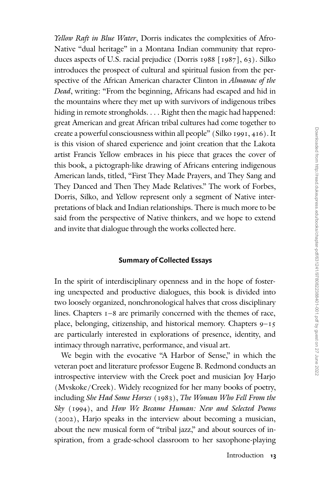*Yellow Raft in Blue Water*, Dorris indicates the complexities of Afro-Native "dual heritage" in a Montana Indian community that reproduces aspects of U.S. racial prejudice (Dorris 1988 [1987], 63). Silko introduces the prospect of cultural and spiritual fusion from the perspective of the African American character Clinton in *Almanac of the* Dead, writing: "From the beginning, Africans had escaped and hid in the mountains where they met up with survivors of indigenous tribes hiding in remote strongholds. . . . Right then the magic had happened: great American and great African tribal cultures had come together to create a powerful consciousness within all people'' (Silko 1991, 416). It is this vision of shared experience and joint creation that the Lakota artist Francis Yellow embraces in his piece that graces the cover of this book, a pictograph-like drawing of Africans entering indigenous American lands, titled, ''First They Made Prayers, and They Sang and They Danced and Then They Made Relatives.'' The work of Forbes, Dorris, Silko, and Yellow represent only a segment of Native interpretations of black and Indian relationships. There is much more to be said from the perspective of Native thinkers, and we hope to extend and invite that dialogue through the works collected here.

### **Summary of Collected Essays**

In the spirit of interdisciplinary openness and in the hope of fostering unexpected and productive dialogues, this book is divided into two loosely organized, nonchronological halves that cross disciplinary lines. Chapters 1–8 are primarily concerned with the themes of race, place, belonging, citizenship, and historical memory. Chapters 9–15 are particularly interested in explorations of presence, identity, and intimacy through narrative, performance, and visual art.

We begin with the evocative "A Harbor of Sense," in which the veteran poet and literature professor Eugene B. Redmond conducts an introspective interview with the Creek poet and musician Joy Harjo (Mvskoke/Creek). Widely recognized for her many books of poetry, including *She Had Some Horses* (1983), *The Woman Who Fell From the Sky* (1994), and *How We Became Human: New and Selected Poems* (2002), Harjo speaks in the interview about becoming a musician, about the new musical form of "tribal jazz," and about sources of inspiration, from a grade-school classroom to her saxophone-playing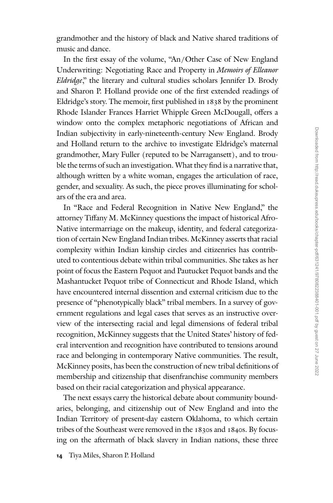grandmother and the history of black and Native shared traditions of music and dance.

In the first essay of the volume, "An/Other Case of New England Underwriting: Negotiating Race and Property in *Memoirs of Elleanor Eldridge*,'' the literary and cultural studies scholars Jennifer D. Brody and Sharon P. Holland provide one of the first extended readings of Eldridge's story. The memoir, first published in 1838 by the prominent Rhode Islander Frances Harriet Whipple Green McDougall, offers a window onto the complex metaphoric negotiations of African and Indian subjectivity in early-nineteenth-century New England. Brody and Holland return to the archive to investigate Eldridge's maternal grandmother, Mary Fuller (reputed to be Narragansett), and to trouble the terms of such an investigation. What they find is a narrative that, although written by a white woman, engages the articulation of race, gender, and sexuality. As such, the piece proves illuminating for scholars of the era and area.

In "Race and Federal Recognition in Native New England," the attorney Tiffany M. McKinney questions the impact of historical Afro-Native intermarriage on the makeup, identity, and federal categorization of certain New England Indian tribes. McKinney asserts that racial complexity within Indian kinship circles and citizenries has contributed to contentious debate within tribal communities. She takes as her point of focus the Eastern Pequot and Pautucket Pequot bands and the Mashantucket Pequot tribe of Connecticut and Rhode Island, which have encountered internal dissention and external criticism due to the presence of ''phenotypically black'' tribal members. In a survey of government regulations and legal cases that serves as an instructive overview of the intersecting racial and legal dimensions of federal tribal recognition, McKinney suggests that the United States' history of federal intervention and recognition have contributed to tensions around race and belonging in contemporary Native communities. The result, McKinney posits, has been the construction of new tribal definitions of membership and citizenship that disenfranchise community members based on their racial categorization and physical appearance.

The next essays carry the historical debate about community boundaries, belonging, and citizenship out of New England and into the Indian Territory of present-day eastern Oklahoma, to which certain tribes of the Southeast were removed in the 1830s and 1840s. By focusing on the aftermath of black slavery in Indian nations, these three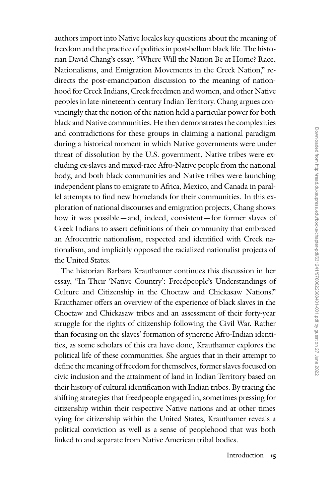authors import into Native locales key questions about the meaning of freedom and the practice of politics in post-bellum black life. The historian David Chang's essay, ''Where Will the Nation Be at Home? Race, Nationalisms, and Emigration Movements in the Creek Nation," redirects the post-emancipation discussion to the meaning of nationhood for Creek Indians, Creek freedmen and women, and other Native peoples in late-nineteenth-century Indian Territory. Chang argues convincingly that the notion of the nation held a particular power for both black and Native communities. He then demonstrates the complexities and contradictions for these groups in claiming a national paradigm during a historical moment in which Native governments were under threat of dissolution by the U.S. government, Native tribes were excluding ex-slaves and mixed-race Afro-Native people from the national body, and both black communities and Native tribes were launching independent plans to emigrate to Africa, Mexico, and Canada in parallel attempts to find new homelands for their communities. In this exploration of national discourses and emigration projects, Chang shows how it was possible—and, indeed, consistent—for former slaves of Creek Indians to assert definitions of their community that embraced an Afrocentric nationalism, respected and identified with Creek nationalism, and implicitly opposed the racialized nationalist projects of the United States.

The historian Barbara Krauthamer continues this discussion in her essay, ''In Their 'Native Country': Freedpeople's Understandings of Culture and Citizenship in the Choctaw and Chickasaw Nations.'' Krauthamer offers an overview of the experience of black slaves in the Choctaw and Chickasaw tribes and an assessment of their forty-year struggle for the rights of citizenship following the Civil War. Rather than focusing on the slaves' formation of syncretic Afro-Indian identities, as some scholars of this era have done, Krauthamer explores the political life of these communities. She argues that in their attempt to define the meaning of freedom for themselves, former slaves focused on civic inclusion and the attainment of land in Indian Territory based on their history of cultural identification with Indian tribes. By tracing the shifting strategies that freedpeople engaged in, sometimes pressing for citizenship within their respective Native nations and at other times vying for citizenship within the United States, Krauthamer reveals a political conviction as well as a sense of peoplehood that was both linked to and separate from Native American tribal bodies.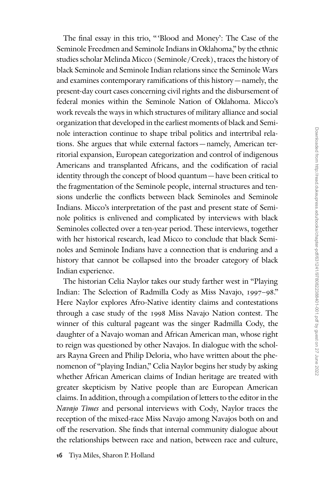The final essay in this trio, "Blood and Money': The Case of the Seminole Freedmen and Seminole Indians in Oklahoma," by the ethnic studies scholar Melinda Micco (Seminole/Creek), traces the history of black Seminole and Seminole Indian relations since the Seminole Wars and examines contemporary ramifications of this history—namely, the present-day court cases concerning civil rights and the disbursement of federal monies within the Seminole Nation of Oklahoma. Micco's work reveals the ways in which structures of military alliance and social organization that developed in the earliest moments of black and Seminole interaction continue to shape tribal politics and intertribal relations. She argues that while external factors—namely, American territorial expansion, European categorization and control of indigenous Americans and transplanted Africans, and the codification of racial identity through the concept of blood quantum—have been critical to the fragmentation of the Seminole people, internal structures and tensions underlie the conflicts between black Seminoles and Seminole Indians. Micco's interpretation of the past and present state of Seminole politics is enlivened and complicated by interviews with black Seminoles collected over a ten-year period. These interviews, together with her historical research, lead Micco to conclude that black Seminoles and Seminole Indians have a connection that is enduring and a history that cannot be collapsed into the broader category of black Indian experience.

The historian Celia Naylor takes our study farther west in ''Playing Indian: The Selection of Radmilla Cody as Miss Navajo, 1997–98.'' Here Naylor explores Afro-Native identity claims and contestations through a case study of the 1998 Miss Navajo Nation contest. The winner of this cultural pageant was the singer Radmilla Cody, the daughter of a Navajo woman and African American man, whose right to reign was questioned by other Navajos. In dialogue with the scholars Rayna Green and Philip Deloria, who have written about the phenomenon of ''playing Indian,'' Celia Naylor begins her study by asking whether African American claims of Indian heritage are treated with greater skepticism by Native people than are European American claims. In addition, through a compilation of letters to the editor in the *Navajo Times* and personal interviews with Cody, Naylor traces the reception of the mixed-race Miss Navajo among Navajos both on and off the reservation. She finds that internal community dialogue about the relationships between race and nation, between race and culture,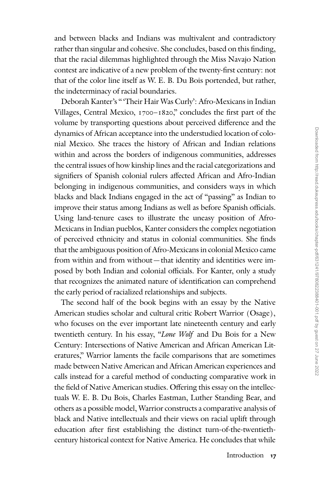and between blacks and Indians was multivalent and contradictory rather than singular and cohesive. She concludes, based on this finding, that the racial dilemmas highlighted through the Miss Navajo Nation contest are indicative of a new problem of the twenty-first century: not that of the color line itself as W. E. B. Du Bois portended, but rather, the indeterminacy of racial boundaries.

Deborah Kanter's '' 'Their Hair Was Curly': Afro-Mexicans in Indian Villages, Central Mexico, 1700–1820,'' concludes the first part of the volume by transporting questions about perceived difference and the dynamics of African acceptance into the understudied location of colonial Mexico. She traces the history of African and Indian relations within and across the borders of indigenous communities, addresses the central issues of how kinship lines and the racial categorizations and signifiers of Spanish colonial rulers affected African and Afro-Indian belonging in indigenous communities, and considers ways in which blacks and black Indians engaged in the act of ''passing'' as Indian to improve their status among Indians as well as before Spanish officials. Using land-tenure cases to illustrate the uneasy position of Afro-Mexicans in Indian pueblos, Kanter considers the complex negotiation of perceived ethnicity and status in colonial communities. She finds that the ambiguous position of Afro-Mexicans in colonial Mexico came from within and from without—that identity and identities were imposed by both Indian and colonial officials. For Kanter, only a study that recognizes the animated nature of identification can comprehend the early period of racialized relationships and subjects.

The second half of the book begins with an essay by the Native American studies scholar and cultural critic Robert Warrior (Osage), who focuses on the ever important late nineteenth century and early twentieth century. In his essay, ''*Lone Wolf* and Du Bois for a New Century: Intersections of Native American and African American Literatures,'' Warrior laments the facile comparisons that are sometimes made between Native American and African American experiences and calls instead for a careful method of conducting comparative work in the field of Native American studies. Offering this essay on the intellectuals W. E. B. Du Bois, Charles Eastman, Luther Standing Bear, and others as a possible model, Warrior constructs a comparative analysis of black and Native intellectuals and their views on racial uplift through education after first establishing the distinct turn-of-the-twentiethcentury historical context for Native America. He concludes that while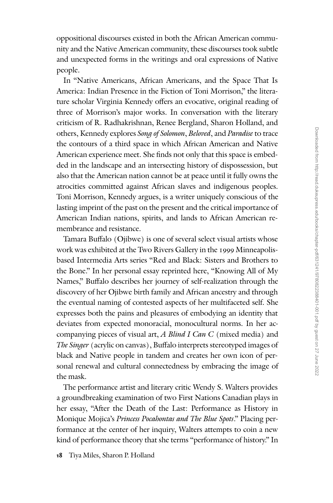oppositional discourses existed in both the African American community and the Native American community, these discourses took subtle and unexpected forms in the writings and oral expressions of Native people.

In "Native Americans, African Americans, and the Space That Is America: Indian Presence in the Fiction of Toni Morrison," the literature scholar Virginia Kennedy offers an evocative, original reading of three of Morrison's major works. In conversation with the literary criticism of R. Radhakrishnan, Renee Bergland, Sharon Holland, and others, Kennedy explores *Song of Solomon*, *Beloved*, and *Paradise* to trace the contours of a third space in which African American and Native American experience meet. She finds not only that this space is embedded in the landscape and an intersecting history of dispossession, but also that the American nation cannot be at peace until it fully owns the atrocities committed against African slaves and indigenous peoples. Toni Morrison, Kennedy argues, is a writer uniquely conscious of the lasting imprint of the past on the present and the critical importance of American Indian nations, spirits, and lands to African American remembrance and resistance.

Tamara Buffalo (Ojibwe) is one of several select visual artists whose work was exhibited at the Two Rivers Gallery in the 1999 Minneapolisbased Intermedia Arts series ''Red and Black: Sisters and Brothers to the Bone.'' In her personal essay reprinted here, ''Knowing All of My Names," Buffalo describes her journey of self-realization through the discovery of her Ojibwe birth family and African ancestry and through the eventual naming of contested aspects of her multifaceted self. She expresses both the pains and pleasures of embodying an identity that deviates from expected monoracial, monocultural norms. In her accompanying pieces of visual art, *A Blind I Can C* (mixed media) and *The Singer* (acrylic on canvas), Buffalo interprets stereotyped images of black and Native people in tandem and creates her own icon of personal renewal and cultural connectedness by embracing the image of the mask.

The performance artist and literary critic Wendy S. Walters provides a groundbreaking examination of two First Nations Canadian plays in her essay, ''After the Death of the Last: Performance as History in Monique Mojica's *Princess Pocahontas and The Blue Spots*.'' Placing performance at the center of her inquiry, Walters attempts to coin a new kind of performance theory that she terms "performance of history." In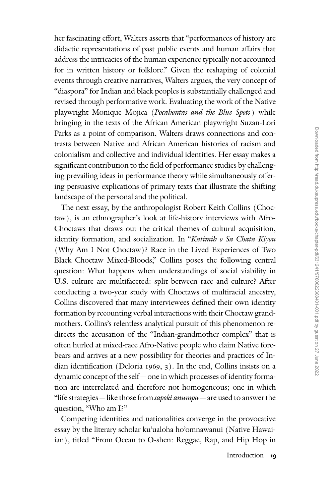her fascinating effort, Walters asserts that "performances of history are didactic representations of past public events and human affairs that address the intricacies of the human experience typically not accounted for in written history or folklore.'' Given the reshaping of colonial events through creative narratives, Walters argues, the very concept of "diaspora" for Indian and black peoples is substantially challenged and revised through performative work. Evaluating the work of the Native playwright Monique Mojica (*Pocahontas and the Blue Spots*) while bringing in the texts of the African American playwright Suzan-Lori Parks as a point of comparison, Walters draws connections and contrasts between Native and African American histories of racism and colonialism and collective and individual identities. Her essay makes a significant contribution to the field of performance studies by challenging prevailing ideas in performance theory while simultaneously offering persuasive explications of primary texts that illustrate the shifting landscape of the personal and the political.

The next essay, by the anthropologist Robert Keith Collins (Choctaw), is an ethnographer's look at life-history interviews with Afro-Choctaws that draws out the critical themes of cultural acquisition, identity formation, and socialization. In ''*Katimih o Sa Chata Kiyou* (Why Am I Not Choctaw)? Race in the Lived Experiences of Two Black Choctaw Mixed-Bloods,'' Collins poses the following central question: What happens when understandings of social viability in U.S. culture are multifaceted: split between race and culture? After conducting a two-year study with Choctaws of multiracial ancestry, Collins discovered that many interviewees defined their own identity formation by recounting verbal interactions with their Choctaw grandmothers. Collins's relentless analytical pursuit of this phenomenon redirects the accusation of the ''Indian-grandmother complex'' that is often hurled at mixed-race Afro-Native people who claim Native forebears and arrives at a new possibility for theories and practices of Indian identification (Deloria 1969, 3). In the end, Collins insists on a dynamic concept of the self—one in which processes of identity formation are interrelated and therefore not homogeneous; one in which ''life strategies—like those from *sapoki anumpa*—are used to answer the question, ''Who am I?''

Competing identities and nationalities converge in the provocative essay by the literary scholar ku'ualoha ho'omnawanui (Native Hawaiian), titled ''From Ocean to O-shen: Reggae, Rap, and Hip Hop in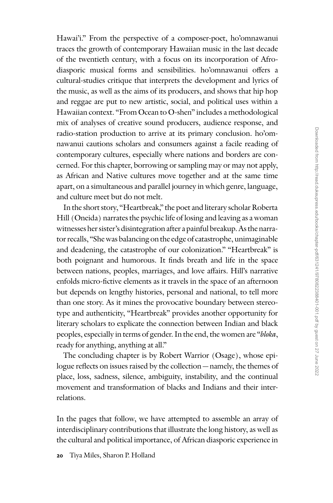Hawai'i." From the perspective of a composer-poet, ho'omnawanui traces the growth of contemporary Hawaiian music in the last decade of the twentieth century, with a focus on its incorporation of Afrodiasporic musical forms and sensibilities. ho'omnawanui offers a cultural-studies critique that interprets the development and lyrics of the music, as well as the aims of its producers, and shows that hip hop and reggae are put to new artistic, social, and political uses within a Hawaiian context. "From Ocean to O-shen" includes a methodological mix of analyses of creative sound producers, audience response, and radio-station production to arrive at its primary conclusion. ho'omnawanui cautions scholars and consumers against a facile reading of contemporary cultures, especially where nations and borders are concerned. For this chapter, borrowing or sampling may or may not apply, as African and Native cultures move together and at the same time apart, on a simultaneous and parallel journey in which genre, language, and culture meet but do not melt.

In the short story, ''Heartbreak,'' the poet and literary scholar Roberta Hill (Oneida) narrates the psychic life of losing and leaving as a woman witnesses her sister's disintegration after a painful breakup. As the narrator recalls, ''She was balancing on the edge of catastrophe, unimaginable and deadening, the catastrophe of our colonization." "Heartbreak" is both poignant and humorous. It finds breath and life in the space between nations, peoples, marriages, and love affairs. Hill's narrative enfolds micro-fictive elements as it travels in the space of an afternoon but depends on lengthy histories, personal and national, to tell more than one story. As it mines the provocative boundary between stereotype and authenticity, ''Heartbreak'' provides another opportunity for literary scholars to explicate the connection between Indian and black peoples, especially in terms of gender. In the end, the women are ''*bloka*, ready for anything, anything at all.''

The concluding chapter is by Robert Warrior (Osage), whose epilogue reflects on issues raised by the collection—namely, the themes of place, loss, sadness, silence, ambiguity, instability, and the continual movement and transformation of blacks and Indians and their interrelations.

In the pages that follow, we have attempted to assemble an array of interdisciplinary contributions that illustrate the long history, as well as the cultural and political importance, of African diasporic experience in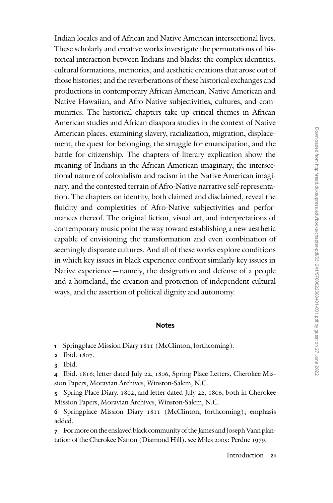Indian locales and of African and Native American intersectional lives. These scholarly and creative works investigate the permutations of historical interaction between Indians and blacks; the complex identities, cultural formations, memories, and aesthetic creations that arose out of those histories; and the reverberations of these historical exchanges and productions in contemporary African American, Native American and Native Hawaiian, and Afro-Native subjectivities, cultures, and communities. The historical chapters take up critical themes in African American studies and African diaspora studies in the context of Native American places, examining slavery, racialization, migration, displacement, the quest for belonging, the struggle for emancipation, and the battle for citizenship. The chapters of literary explication show the meaning of Indians in the African American imaginary, the intersectional nature of colonialism and racism in the Native American imaginary, and the contested terrain of Afro-Native narrative self-representation. The chapters on identity, both claimed and disclaimed, reveal the fluidity and complexities of Afro-Native subjectivities and performances thereof. The original fiction, visual art, and interpretations of contemporary music point the way toward establishing a new aesthetic capable of envisioning the transformation and even combination of seemingly disparate cultures. And all of these works explore conditions in which key issues in black experience confront similarly key issues in Native experience—namely, the designation and defense of a people and a homeland, the creation and protection of independent cultural ways, and the assertion of political dignity and autonomy.

#### **Notes**

- **1** Springplace Mission Diary 1811 (McClinton, forthcoming).
- **2** Ibid. 1807.
- **3** Ibid.

**4** Ibid. 1816; letter dated July 22, 1806, Spring Place Letters, Cherokee Mission Papers, Moravian Archives, Winston-Salem, N.C.

**5** Spring Place Diary, 1802, and letter dated July 22, 1806, both in Cherokee Mission Papers, Moravian Archives, Winston-Salem, N.C.

**6** Springplace Mission Diary 1811 (McClinton, forthcoming); emphasis added.

**7** For more on the enslaved black community of the James and Joseph Vann plantation of the Cherokee Nation (Diamond Hill), see Miles 2005; Perdue 1979.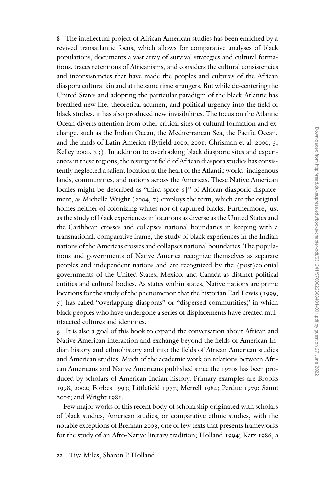**8** The intellectual project of African American studies has been enriched by a revived transatlantic focus, which allows for comparative analyses of black populations, documents a vast array of survival strategies and cultural formations, traces retentions of Africanisms, and considers the cultural consistencies and inconsistencies that have made the peoples and cultures of the African diaspora cultural kin and at the same time strangers. But while de-centering the United States and adopting the particular paradigm of the black Atlantic has breathed new life, theoretical acumen, and political urgency into the field of black studies, it has also produced new invisibilities. The focus on the Atlantic Ocean diverts attention from other critical sites of cultural formation and exchange, such as the Indian Ocean, the Mediterranean Sea, the Pacific Ocean, and the lands of Latin America (Byfield 2000, 2001; Chrisman et al. 2000, 3; Kelley 2000, 33). In addition to overlooking black diasporic sites and experiences in these regions, the resurgent field of African diaspora studies has consistently neglected a salient location at the heart of the Atlantic world: indigenous lands, communities, and nations across the Americas. These Native American locales might be described as "third space[s]" of African diasporic displacement, as Michelle Wright (2004, 7) employs the term, which are the original homes neither of colonizing whites nor of captured blacks. Furthermore, just as the study of black experiences in locations as diverse as the United States and the Caribbean crosses and collapses national boundaries in keeping with a transnational, comparative frame, the study of black experiences in the Indian nations of the Americas crosses and collapses national boundaries. The populations and governments of Native America recognize themselves as separate peoples and independent nations and are recognized by the (post)colonial governments of the United States, Mexico, and Canada as distinct political entities and cultural bodies. As states within states, Native nations are prime locations for the study of the phenomenon that the historian Earl Lewis (1999, 5) has called ''overlapping diasporas'' or ''dispersed communities,'' in which black peoples who have undergone a series of displacements have created multifaceted cultures and identities.

**9** It is also a goal of this book to expand the conversation about African and Native American interaction and exchange beyond the fields of American Indian history and ethnohistory and into the fields of African American studies and American studies. Much of the academic work on relations between African Americans and Native Americans published since the 1970s has been produced by scholars of American Indian history. Primary examples are Brooks 1998, 2002; Forbes 1993; Littlefield 1977; Merrell 1984; Perdue 1979; Saunt 2005; and Wright 1981.

Few major works of this recent body of scholarship originated with scholars of black studies, American studies, or comparative ethnic studies, with the notable exceptions of Brennan 2003, one of few texts that presents frameworks for the study of an Afro-Native literary tradition; Holland 1994; Katz 1986, a